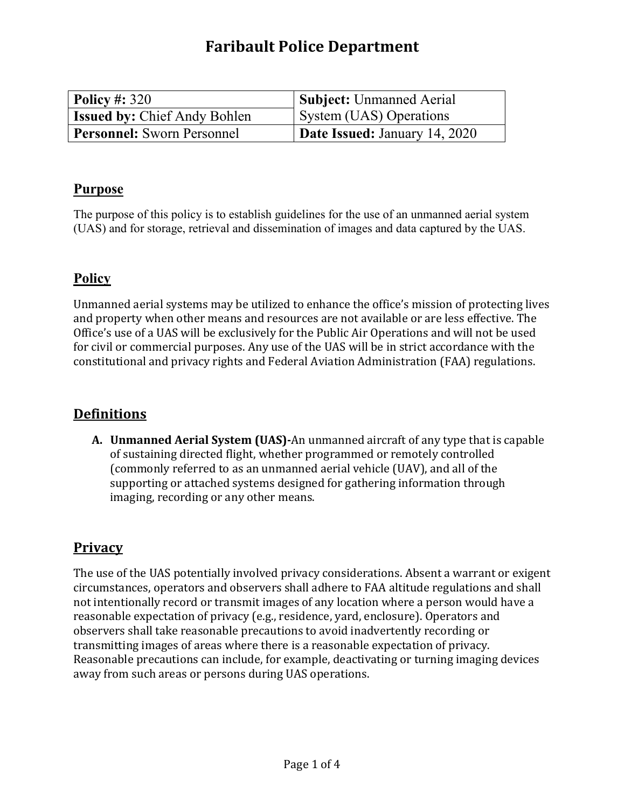# **Faribault Police Department**

| Policy #: $320$                     | <b>Subject:</b> Unmanned Aerial |
|-------------------------------------|---------------------------------|
| <b>Issued by: Chief Andy Bohlen</b> | System (UAS) Operations         |
| <b>Personnel:</b> Sworn Personnel   | Date Issued: January 14, 2020   |

#### **Purpose**

The purpose of this policy is to establish guidelines for the use of an unmanned aerial system (UAS) and for storage, retrieval and dissemination of images and data captured by the UAS.

#### **Policy**

Unmanned aerial systems may be utilized to enhance the office's mission of protecting lives and property when other means and resources are not available or are less effective. The Office's use of a UAS will be exclusively for the Public Air Operations and will not be used for civil or commercial purposes. Any use of the UAS will be in strict accordance with the constitutional and privacy rights and Federal Aviation Administration (FAA) regulations.

#### **Definitions**

**A. Unmanned Aerial System (UAS)-**An unmanned aircraft of any type that is capable of sustaining directed flight, whether programmed or remotely controlled (commonly referred to as an unmanned aerial vehicle (UAV), and all of the supporting or attached systems designed for gathering information through imaging, recording or any other means.

#### **Privacy**

The use of the UAS potentially involved privacy considerations. Absent a warrant or exigent circumstances, operators and observers shall adhere to FAA altitude regulations and shall not intentionally record or transmit images of any location where a person would have a reasonable expectation of privacy (e.g., residence, yard, enclosure). Operators and observers shall take reasonable precautions to avoid inadvertently recording or transmitting images of areas where there is a reasonable expectation of privacy. Reasonable precautions can include, for example, deactivating or turning imaging devices away from such areas or persons during UAS operations.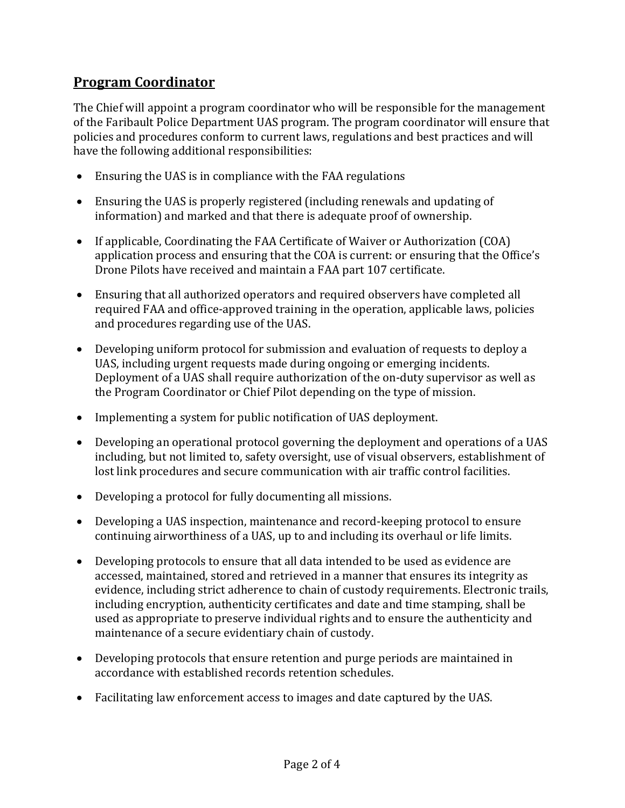# **Program Coordinator**

The Chief will appoint a program coordinator who will be responsible for the management of the Faribault Police Department UAS program. The program coordinator will ensure that policies and procedures conform to current laws, regulations and best practices and will have the following additional responsibilities:

- Ensuring the UAS is in compliance with the FAA regulations
- Ensuring the UAS is properly registered (including renewals and updating of information) and marked and that there is adequate proof of ownership.
- If applicable, Coordinating the FAA Certificate of Waiver or Authorization (COA) application process and ensuring that the COA is current: or ensuring that the Office's Drone Pilots have received and maintain a FAA part 107 certificate.
- Ensuring that all authorized operators and required observers have completed all required FAA and office-approved training in the operation, applicable laws, policies and procedures regarding use of the UAS.
- Developing uniform protocol for submission and evaluation of requests to deploy a UAS, including urgent requests made during ongoing or emerging incidents. Deployment of a UAS shall require authorization of the on-duty supervisor as well as the Program Coordinator or Chief Pilot depending on the type of mission.
- Implementing a system for public notification of UAS deployment.
- Developing an operational protocol governing the deployment and operations of a UAS including, but not limited to, safety oversight, use of visual observers, establishment of lost link procedures and secure communication with air traffic control facilities.
- Developing a protocol for fully documenting all missions.
- Developing a UAS inspection, maintenance and record-keeping protocol to ensure continuing airworthiness of a UAS, up to and including its overhaul or life limits.
- Developing protocols to ensure that all data intended to be used as evidence are accessed, maintained, stored and retrieved in a manner that ensures its integrity as evidence, including strict adherence to chain of custody requirements. Electronic trails, including encryption, authenticity certificates and date and time stamping, shall be used as appropriate to preserve individual rights and to ensure the authenticity and maintenance of a secure evidentiary chain of custody.
- Developing protocols that ensure retention and purge periods are maintained in accordance with established records retention schedules.
- Facilitating law enforcement access to images and date captured by the UAS.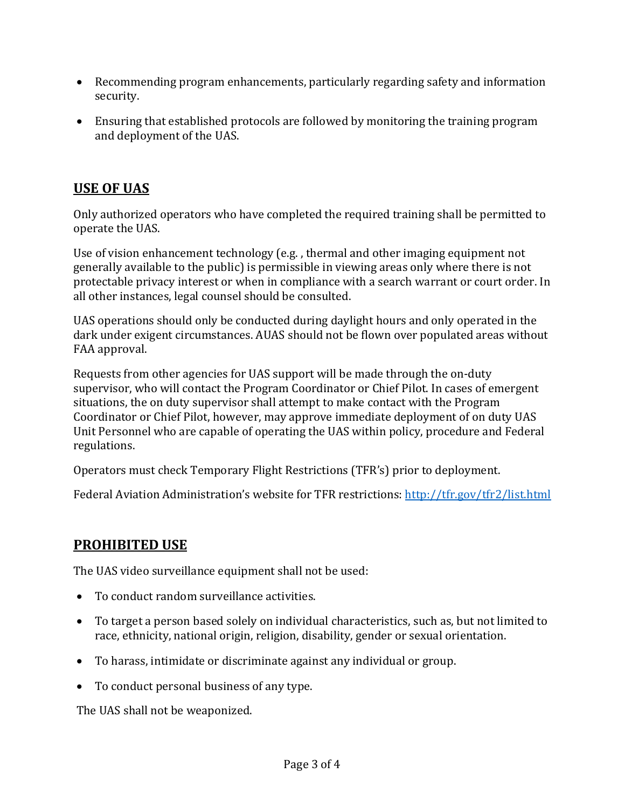- Recommending program enhancements, particularly regarding safety and information security.
- Ensuring that established protocols are followed by monitoring the training program and deployment of the UAS.

# **USE OF UAS**

Only authorized operators who have completed the required training shall be permitted to operate the UAS.

Use of vision enhancement technology (e.g. , thermal and other imaging equipment not generally available to the public) is permissible in viewing areas only where there is not protectable privacy interest or when in compliance with a search warrant or court order. In all other instances, legal counsel should be consulted.

UAS operations should only be conducted during daylight hours and only operated in the dark under exigent circumstances. AUAS should not be flown over populated areas without FAA approval.

Requests from other agencies for UAS support will be made through the on-duty supervisor, who will contact the Program Coordinator or Chief Pilot. In cases of emergent situations, the on duty supervisor shall attempt to make contact with the Program Coordinator or Chief Pilot, however, may approve immediate deployment of on duty UAS Unit Personnel who are capable of operating the UAS within policy, procedure and Federal regulations.

Operators must check Temporary Flight Restrictions (TFR's) prior to deployment.

Federal Aviation Administration's website for TFR restrictions:<http://tfr.gov/tfr2/list.html>

# **PROHIBITED USE**

The UAS video surveillance equipment shall not be used:

- To conduct random surveillance activities.
- To target a person based solely on individual characteristics, such as, but not limited to race, ethnicity, national origin, religion, disability, gender or sexual orientation.
- To harass, intimidate or discriminate against any individual or group.
- To conduct personal business of any type.

The UAS shall not be weaponized.